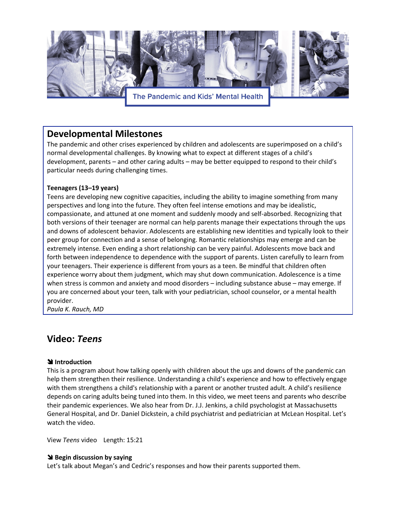

# **Developmental Milestones**

The pandemic and other crises experienced by children and adolescents are superimposed on a child's normal developmental challenges. By knowing what to expect at different stages of a child's development, parents – and other caring adults – may be better equipped to respond to their child's particular needs during challenging times.

### **Teenagers (13–19 years)**

Teens are developing new cognitive capacities, including the ability to imagine something from many perspectives and long into the future. They often feel intense emotions and may be idealistic, compassionate, and attuned at one moment and suddenly moody and self-absorbed. Recognizing that both versions of their teenager are normal can help parents manage their expectations through the ups and downs of adolescent behavior. Adolescents are establishing new identities and typically look to their peer group for connection and a sense of belonging. Romantic relationships may emerge and can be extremely intense. Even ending a short relationship can be very painful. Adolescents move back and forth between independence to dependence with the support of parents. Listen carefully to learn from your teenagers. Their experience is different from yours as a teen. Be mindful that children often experience worry about them judgment, which may shut down communication. Adolescence is a time when stress is common and anxiety and mood disorders – including substance abuse – may emerge. If you are concerned about your teen, talk with your pediatrician, school counselor, or a mental health provider.

*Paula K. Rauch, MD* 

# **Video:** *Teens*

### **\** Introduction

This is a program about how talking openly with children about the ups and downs of the pandemic can help them strengthen their resilience. Understanding a child's experience and how to effectively engage with them strengthens a child's relationship with a parent or another trusted adult. A child's resilience depends on caring adults being tuned into them. In this video, we meet teens and parents who describe their pandemic experiences. We also hear from Dr. J.J. Jenkins, a child psychologist at Massachusetts General Hospital, and Dr. Daniel Dickstein, a child psychiatrist and pediatrician at McLean Hospital. Let's watch the video.

View *Teens* video Length: 15:21

#### **\** Begin discussion by saying

Let's talk about Megan's and Cedric's responses and how their parents supported them.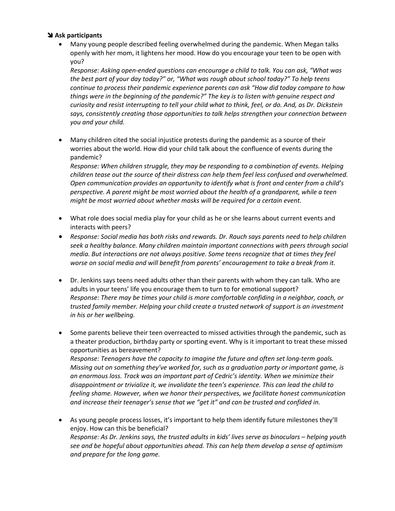#### ! **Ask participants**

• Many young people described feeling overwhelmed during the pandemic. When Megan talks openly with her mom, it lightens her mood. How do you encourage your teen to be open with you?

*Response: Asking open-ended questions can encourage a child to talk. You can ask, "What was the best part of your day today?" or, "What was rough about school today?" To help teens continue to process their pandemic experience parents can ask "How did today compare to how things were in the beginning of the pandemic?" The key is to listen with genuine respect and curiosity and resist interrupting to tell your child what to think, feel, or do. And, as Dr. Dickstein says, consistently creating those opportunities to talk helps strengthen your connection between you and your child.* 

• Many children cited the social injustice protests during the pandemic as a source of their worries about the world. How did your child talk about the confluence of events during the pandemic?

*Response: When children struggle, they may be responding to a combination of events. Helping children tease out the source of their distress can help them feel less confused and overwhelmed. Open communication provides an opportunity to identify what is front and center from a child's perspective. A parent might be most worried about the health of a grandparent, while a teen might be most worried about whether masks will be required for a certain event.* 

- What role does social media play for your child as he or she learns about current events and interacts with peers?
- *Response: Social media has both risks and rewards. Dr. Rauch says parents need to help children seek a healthy balance. Many children maintain important connections with peers through social media. But interactions are not always positive. Some teens recognize that at times they feel worse on social media and will benefit from parents' encouragement to take a break from it.*
- Dr. Jenkins says teens need adults other than their parents with whom they can talk. Who are adults in your teens' life you encourage them to turn to for emotional support? *Response: There may be times your child is more comfortable confiding in a neighbor, coach, or trusted family member. Helping your child create a trusted network of support is an investment in his or her wellbeing.*
- Some parents believe their teen overreacted to missed activities through the pandemic, such as a theater production, birthday party or sporting event. Why is it important to treat these missed opportunities as bereavement? *Response: Teenagers have the capacity to imagine the future and often set long-term goals. Missing out on something they've worked for, such as a graduation party or important game, is an enormous loss. Track was an important part of Cedric's identity. When we minimize their disappointment or trivialize it, we invalidate the teen's experience. This can lead the child to feeling shame. However, when we honor their perspectives, we facilitate honest communication and increase their teenager's sense that we "get it" and can be trusted and confided in.*
- As young people process losses, it's important to help them identify future milestones they'll enjoy. How can this be beneficial? *Response: As Dr. Jenkins says, the trusted adults in kids' lives serve as binoculars – helping youth see and be hopeful about opportunities ahead. This can help them develop a sense of optimism and prepare for the long game.*